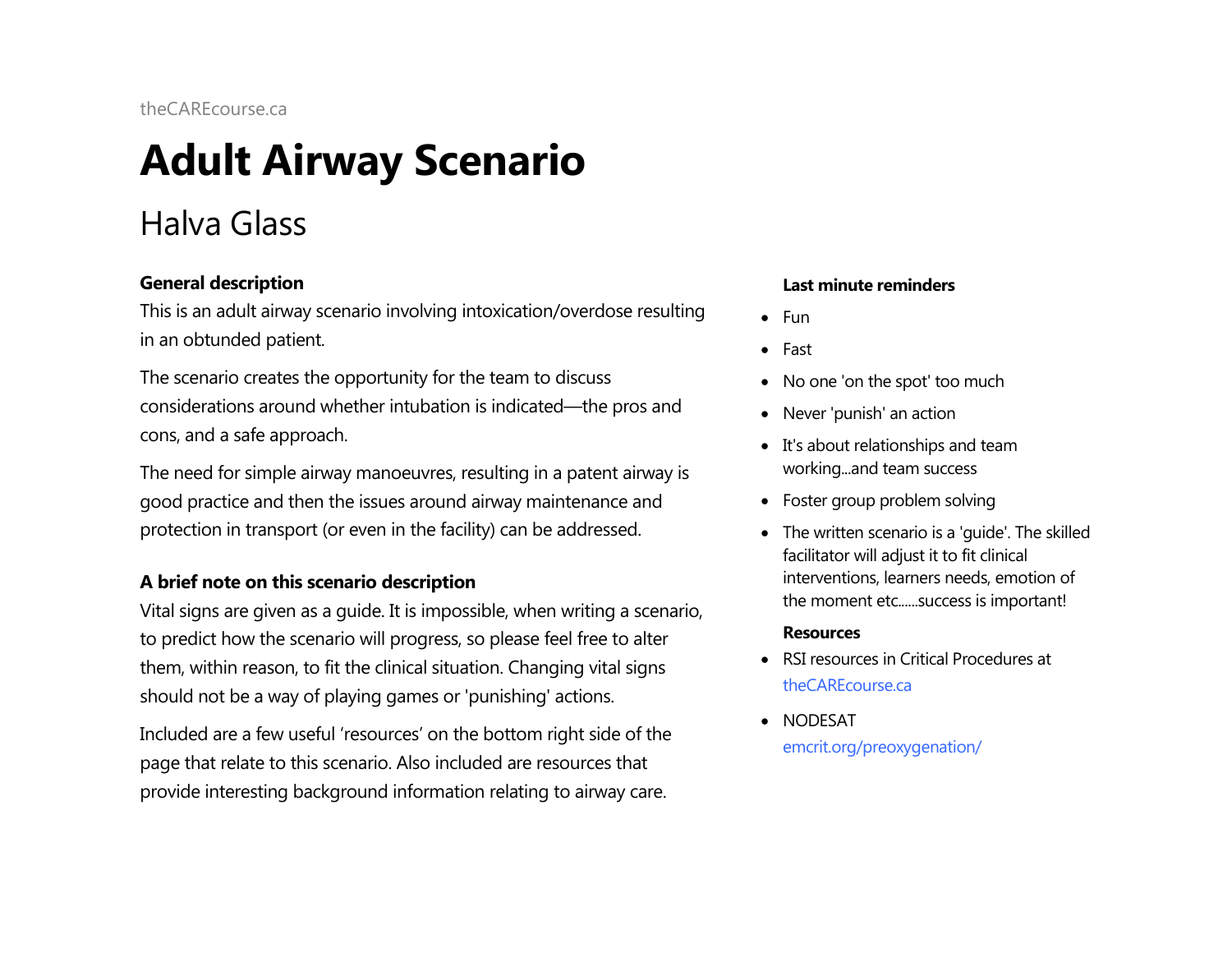# **Adult Airway Scenario**

## Halva Glass

### **General description**

This is an adult airway scenario involving intoxication/overdose resulting in an obtunded patient.

The scenario creates the opportunity for the team to discuss considerations around whether intubation is indicated—the pros and cons, and a safe approach.

The need for simple airway manoeuvres, resulting in a patent airway is good practice and then the issues around airway maintenance and protection in transport (or even in the facility) can be addressed.

### **A brief note on this scenario description**

Vital signs are given as a guide. It is impossible, when writing a scenario, to predict how the scenario will progress, so please feel free to alter them, within reason, to fit the clinical situation. Changing vital signs should not be a way of playing games or 'punishing' actions.

Included are a few useful 'resources' on the bottom right side of the page that relate to this scenario. Also included are resources that provide interesting background information relating to airway care.

#### **Last minute reminders**

- Fun
- Fast
- No one 'on the spot' too much
- Never 'punish' an action
- It's about relationships and team working...and team success
- Foster group problem solving
- The written scenario is a 'guide'. The skilled facilitator will adjust it to fit clinical interventions, learners needs, emotion of the moment etc......success is important!

#### **Resources**

- RSI resources in Critical Procedures at [theCAREcourse.ca](http://thecarecourse.ca/)
- NODESAT [emcrit.org/preoxygenation/](http://emcrit.org/preoxygenation/)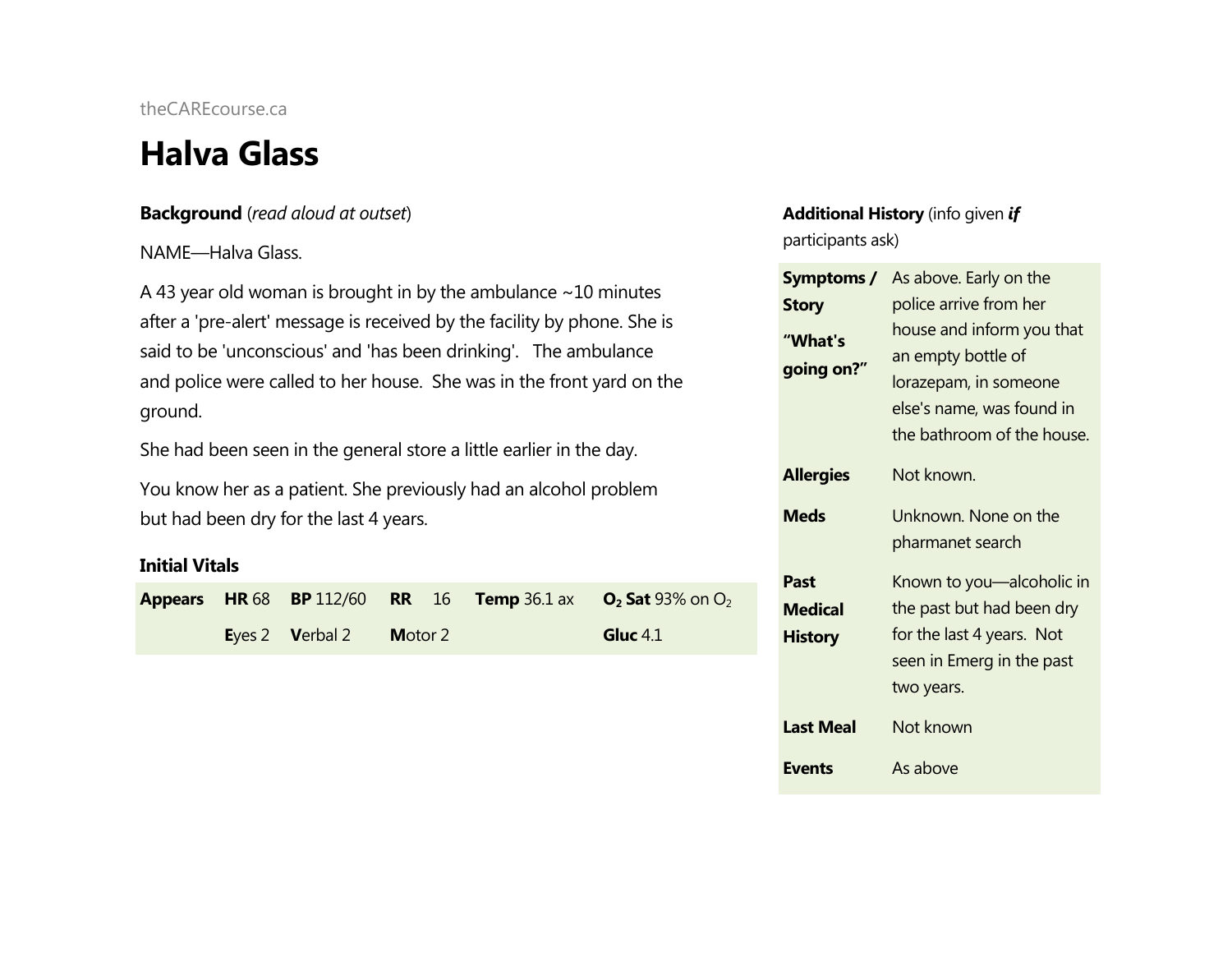### **Halva Glass**

### **Background** (*read aloud at outset*)

### NAME—Halva Glass.

A 43 year old woman is brought in by the ambulance  $\sim$  10 minutes after a 'pre-alert' message is received by the facility by phone. She is said to be 'unconscious' and 'has been drinking'. The ambulance and police were called to her house. She was in the front yard on the ground.

She had been seen in the general store a little earlier in the day.

You know her as a patient. She previously had an alcohol problem but had been dry for the last 4 years.

### **Initial Vitals**

|  |                         |  | <b>Appears</b> HR 68 BP 112/60 RR 16 Temp 36.1 ax $O_2$ Sat 93% on $O_2$ |  |
|--|-------------------------|--|--------------------------------------------------------------------------|--|
|  | Eyes 2 Verbal 2 Motor 2 |  | Gluc $4.1$                                                               |  |

### **Additional History** (info given *if* participants ask)

|                                          | <b>Symptoms /</b> As above. Early on the                                                                                            |  |  |  |
|------------------------------------------|-------------------------------------------------------------------------------------------------------------------------------------|--|--|--|
| <b>Story</b>                             | police arrive from her                                                                                                              |  |  |  |
| "What's<br>going on?"                    | house and inform you that<br>an empty bottle of<br>lorazepam, in someone<br>else's name, was found in<br>the bathroom of the house. |  |  |  |
| <b>Allergies</b>                         | Not known.                                                                                                                          |  |  |  |
| <b>Meds</b>                              | Unknown. None on the<br>pharmanet search                                                                                            |  |  |  |
| Past<br><b>Medical</b><br><b>History</b> | Known to you—alcoholic in<br>the past but had been dry<br>for the last 4 years. Not<br>seen in Emerg in the past<br>two years.      |  |  |  |
| <b>Last Meal</b>                         | Not known                                                                                                                           |  |  |  |
| <b>Events</b>                            | As above                                                                                                                            |  |  |  |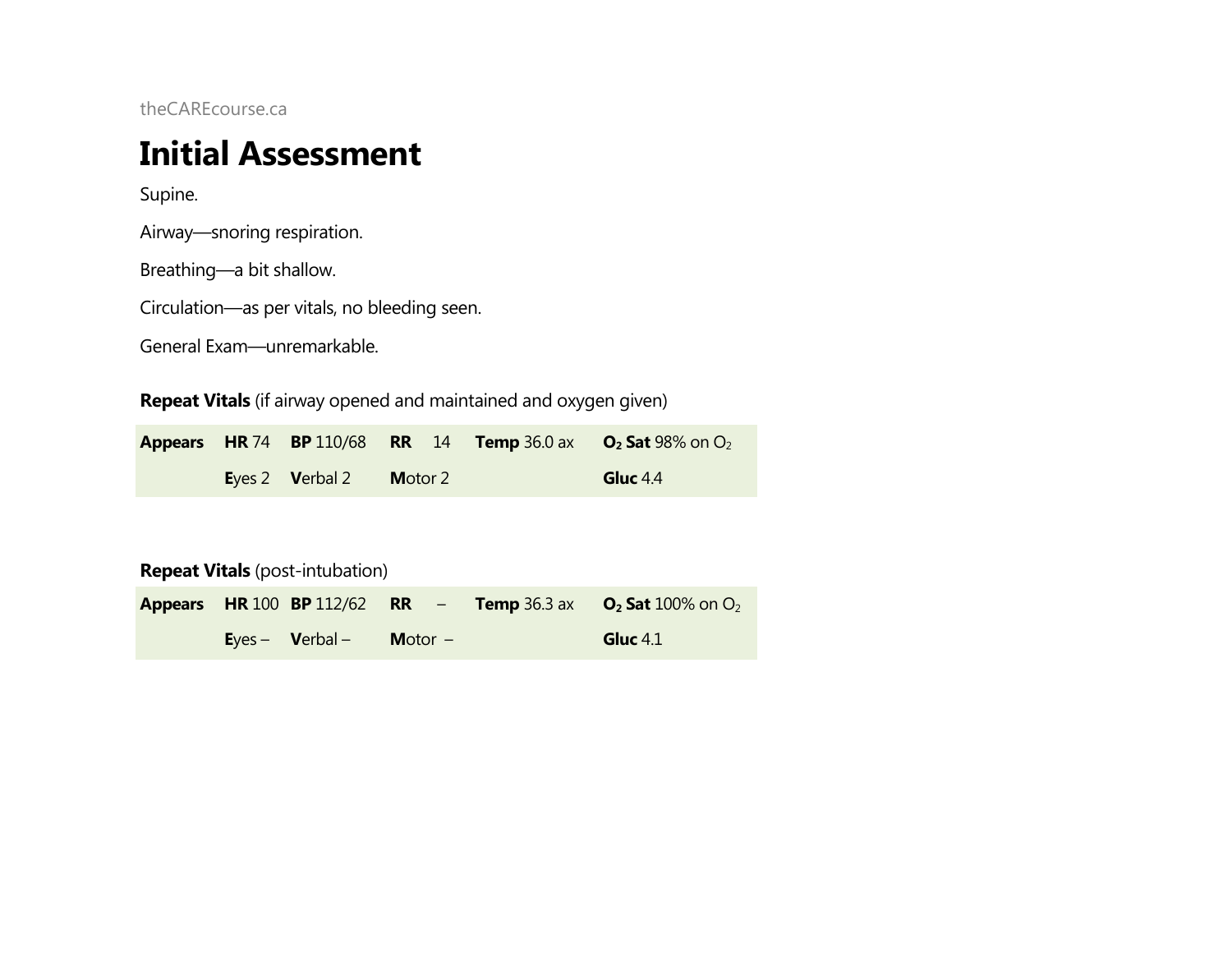### **Initial Assessment**

Supine.

Airway—snoring respiration.

Breathing—a bit shallow.

Circulation—as per vitals, no bleeding seen.

General Exam—unremarkable.

**Repeat Vitals** (if airway opened and maintained and oxygen given)

|  |                                       |                 |  | <b>Appears</b> HR 74 BP 110/68 RR 14 Temp 36.0 ax $O_2$ Sat 98% on $O_2$ |
|--|---------------------------------------|-----------------|--|--------------------------------------------------------------------------|
|  | Eyes 2 $\blacktriangleright$ Verbal 2 | <b>M</b> otor 2 |  | Gluc $4.4$                                                               |

**Repeat Vitals** (post-intubation)

|  |                                 |                  |  | <b>Appears</b> HR 100 BP 112/62 RR - Temp 36.3 ax $O_2$ Sat 100% on $O_2$ |
|--|---------------------------------|------------------|--|---------------------------------------------------------------------------|
|  | $\text{Eyes} - \text{Verbal} -$ | <b>Motor</b> $-$ |  | Gluc $4.1$                                                                |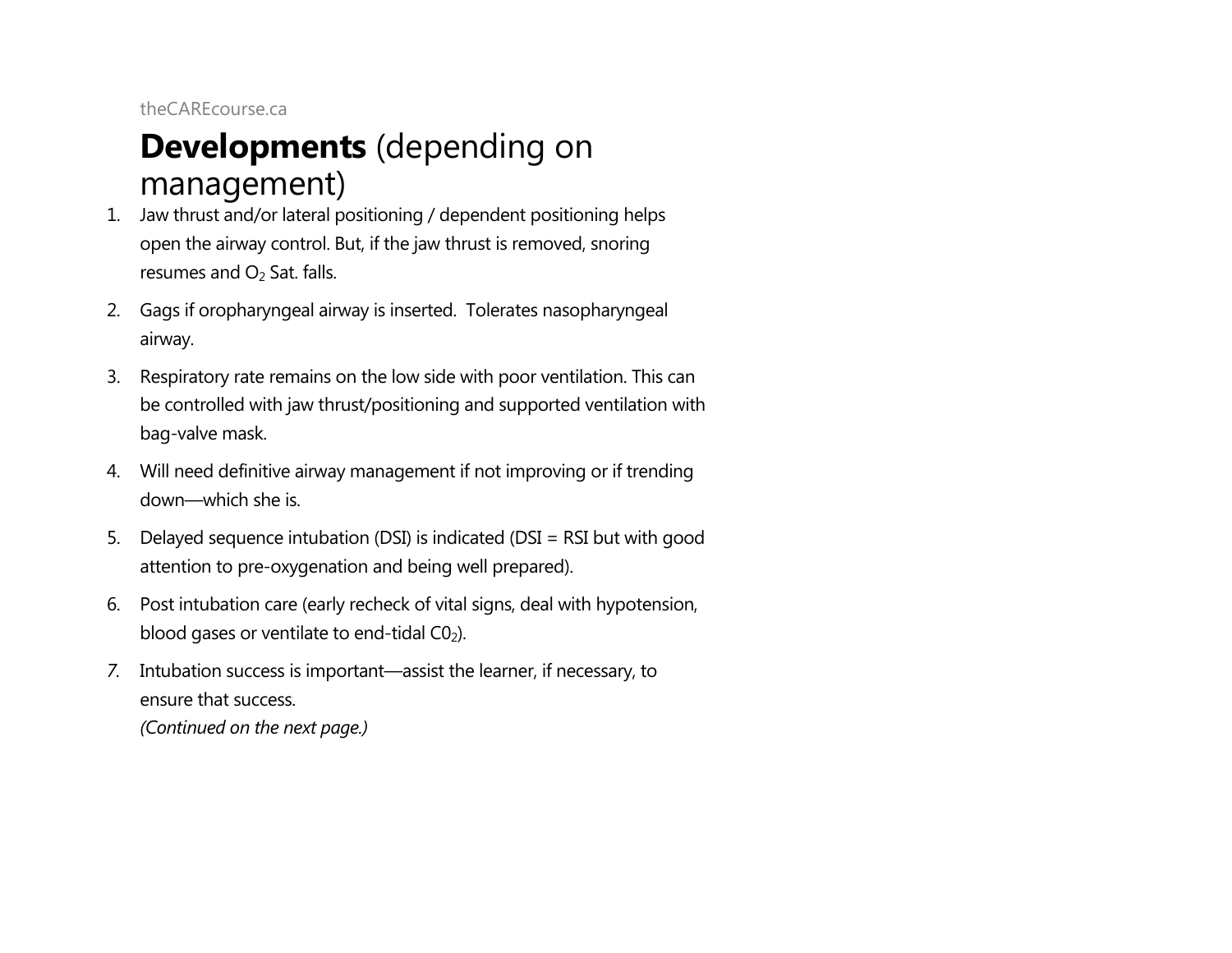### **Developments** (depending on management)

- 1. Jaw thrust and/or lateral positioning / dependent positioning helps open the airway control. But, if the jaw thrust is removed, snoring resumes and  $O<sub>2</sub>$  Sat. falls.
- 2. Gags if oropharyngeal airway is inserted. Tolerates nasopharyngeal airway.
- 3. Respiratory rate remains on the low side with poor ventilation. This can be controlled with jaw thrust/positioning and supported ventilation with bag-valve mask.
- 4. Will need definitive airway management if not improving or if trending down—which she is.
- 5. Delayed sequence intubation (DSI) is indicated (DSI = RSI but with good attention to pre-oxygenation and being well prepared).
- 6. Post intubation care (early recheck of vital signs, deal with hypotension, blood gases or ventilate to end-tidal  $CO<sub>2</sub>$ ).
- *7.* Intubation success is important—assist the learner, if necessary, to ensure that success. *(Continued on the next page.)*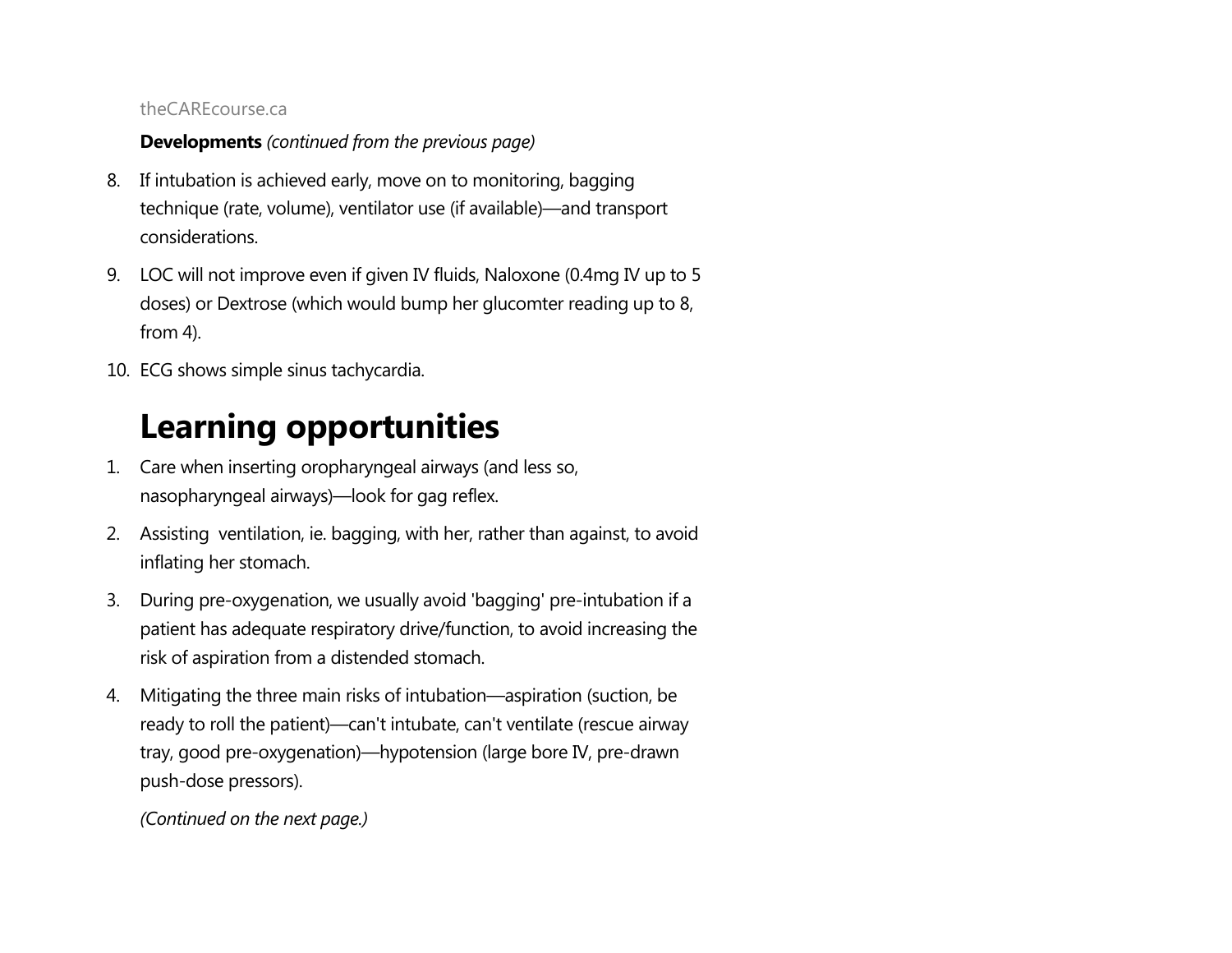### **Developments** *(continued from the previous page)*

- 8. If intubation is achieved early, move on to monitoring, bagging technique (rate, volume), ventilator use (if available)—and transport considerations.
- 9. LOC will not improve even if given IV fluids, Naloxone (0.4mg IV up to 5 doses) or Dextrose (which would bump her glucomter reading up to 8, from 4).
- 10. ECG shows simple sinus tachycardia.

# **Learning opportunities**

- 1. Care when inserting oropharyngeal airways (and less so, nasopharyngeal airways)—look for gag reflex.
- 2. Assisting ventilation, ie. bagging, with her, rather than against, to avoid inflating her stomach.
- 3. During pre-oxygenation, we usually avoid 'bagging' pre-intubation if a patient has adequate respiratory drive/function, to avoid increasing the risk of aspiration from a distended stomach.
- 4. Mitigating the three main risks of intubation—aspiration (suction, be ready to roll the patient)—can't intubate, can't ventilate (rescue airway tray, good pre-oxygenation)—hypotension (large bore IV, pre-drawn push-dose pressors).

*(Continued on the next page.)*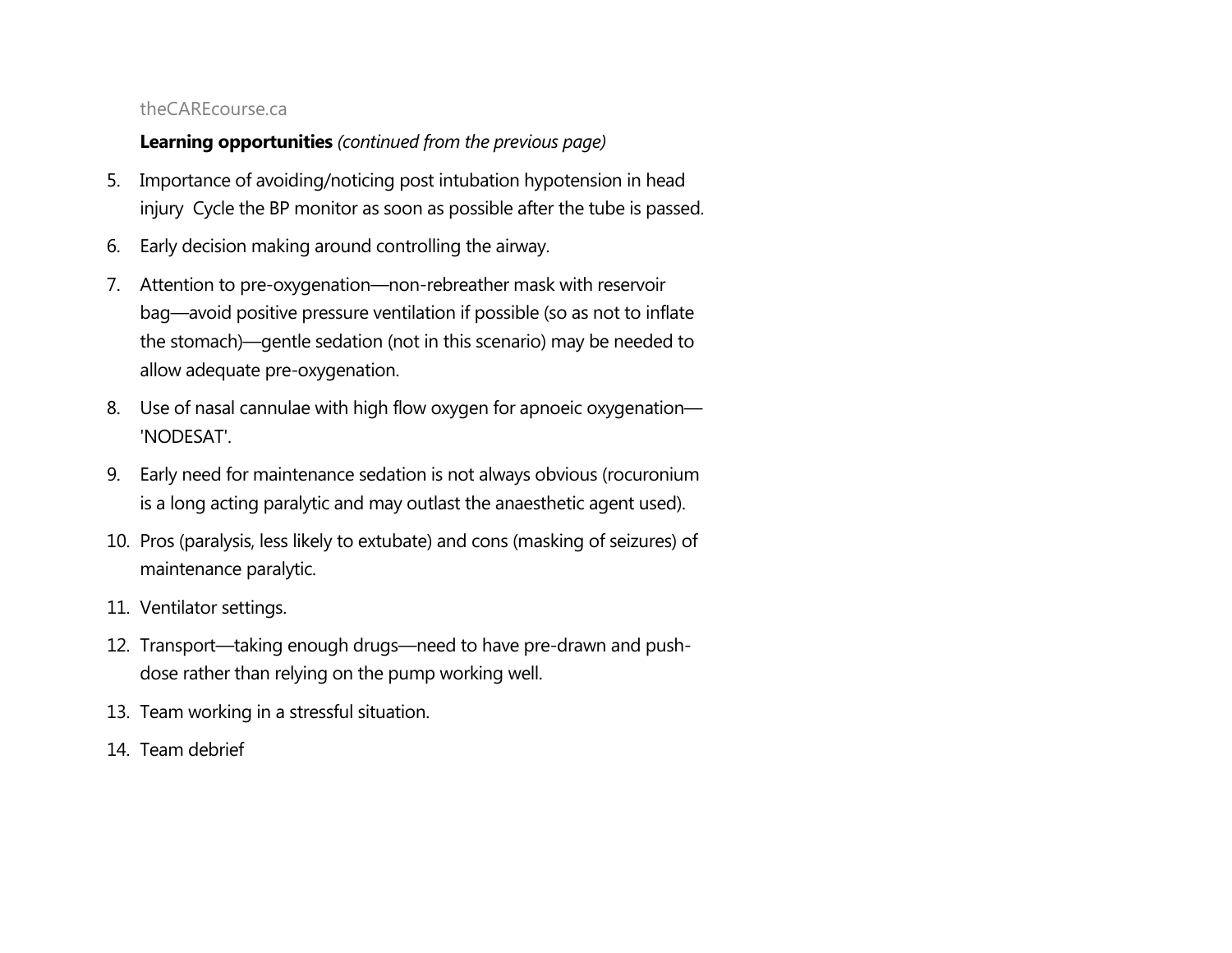### **Learning opportunities** *(continued from the previous page)*

- 5. Importance of avoiding/noticing post intubation hypotension in head injury Cycle the BP monitor as soon as possible after the tube is passed.
- 6. Early decision making around controlling the airway.
- 7. Attention to pre-oxygenation—non-rebreather mask with reservoir bag—avoid positive pressure ventilation if possible (so as not to inflate the stomach)—gentle sedation (not in this scenario) may be needed to allow adequate pre-oxygenation.
- 8. Use of nasal cannulae with high flow oxygen for apnoeic oxygenation— 'NODESAT'.
- 9. Early need for maintenance sedation is not always obvious (rocuronium is a long acting paralytic and may outlast the anaesthetic agent used).
- 10. Pros (paralysis, less likely to extubate) and cons (masking of seizures) of maintenance paralytic.
- 11. Ventilator settings.
- 12. Transport—taking enough drugs—need to have pre-drawn and pushdose rather than relying on the pump working well.
- 13. Team working in a stressful situation.
- 14. Team debrief